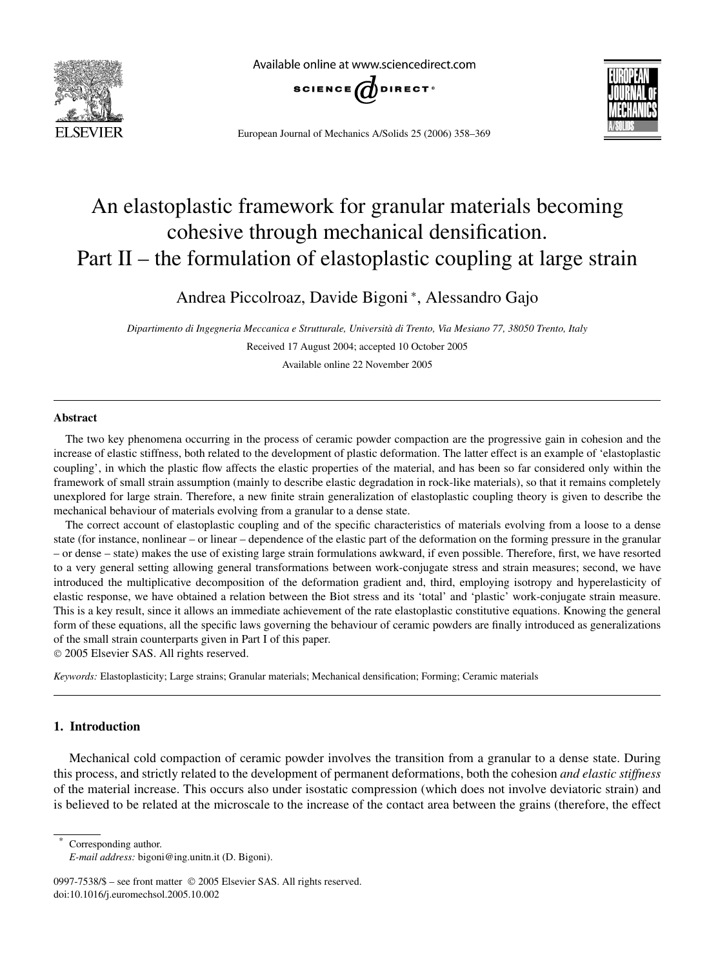

Available online at www.sciencedirect.com





European Journal of Mechanics A/Solids 25 (2006) 358–369

# An elastoplastic framework for granular materials becoming cohesive through mechanical densification. Part II – the formulation of elastoplastic coupling at large strain

Andrea Piccolroaz, Davide Bigoni <sup>∗</sup> , Alessandro Gajo

*Dipartimento di Ingegneria Meccanica e Strutturale, Università di Trento, Via Mesiano 77, 38050 Trento, Italy* Received 17 August 2004; accepted 10 October 2005 Available online 22 November 2005

#### **Abstract**

The two key phenomena occurring in the process of ceramic powder compaction are the progressive gain in cohesion and the increase of elastic stiffness, both related to the development of plastic deformation. The latter effect is an example of 'elastoplastic coupling', in which the plastic flow affects the elastic properties of the material, and has been so far considered only within the framework of small strain assumption (mainly to describe elastic degradation in rock-like materials), so that it remains completely unexplored for large strain. Therefore, a new finite strain generalization of elastoplastic coupling theory is given to describe the mechanical behaviour of materials evolving from a granular to a dense state.

The correct account of elastoplastic coupling and of the specific characteristics of materials evolving from a loose to a dense state (for instance, nonlinear – or linear – dependence of the elastic part of the deformation on the forming pressure in the granular – or dense – state) makes the use of existing large strain formulations awkward, if even possible. Therefore, first, we have resorted to a very general setting allowing general transformations between work-conjugate stress and strain measures; second, we have introduced the multiplicative decomposition of the deformation gradient and, third, employing isotropy and hyperelasticity of elastic response, we have obtained a relation between the Biot stress and its 'total' and 'plastic' work-conjugate strain measure. This is a key result, since it allows an immediate achievement of the rate elastoplastic constitutive equations. Knowing the general form of these equations, all the specific laws governing the behaviour of ceramic powders are finally introduced as generalizations of the small strain counterparts given in Part I of this paper.

2005 Elsevier SAS. All rights reserved.

*Keywords:* Elastoplasticity; Large strains; Granular materials; Mechanical densification; Forming; Ceramic materials

# **1. Introduction**

Mechanical cold compaction of ceramic powder involves the transition from a granular to a dense state. During this process, and strictly related to the development of permanent deformations, both the cohesion *and elastic stiffness* of the material increase. This occurs also under isostatic compression (which does not involve deviatoric strain) and is believed to be related at the microscale to the increase of the contact area between the grains (therefore, the effect

Corresponding author.

*E-mail address:* bigoni@ing.unitn.it (D. Bigoni).

<sup>0997-7538/\$ –</sup> see front matter © 2005 Elsevier SAS. All rights reserved. doi:10.1016/j.euromechsol.2005.10.002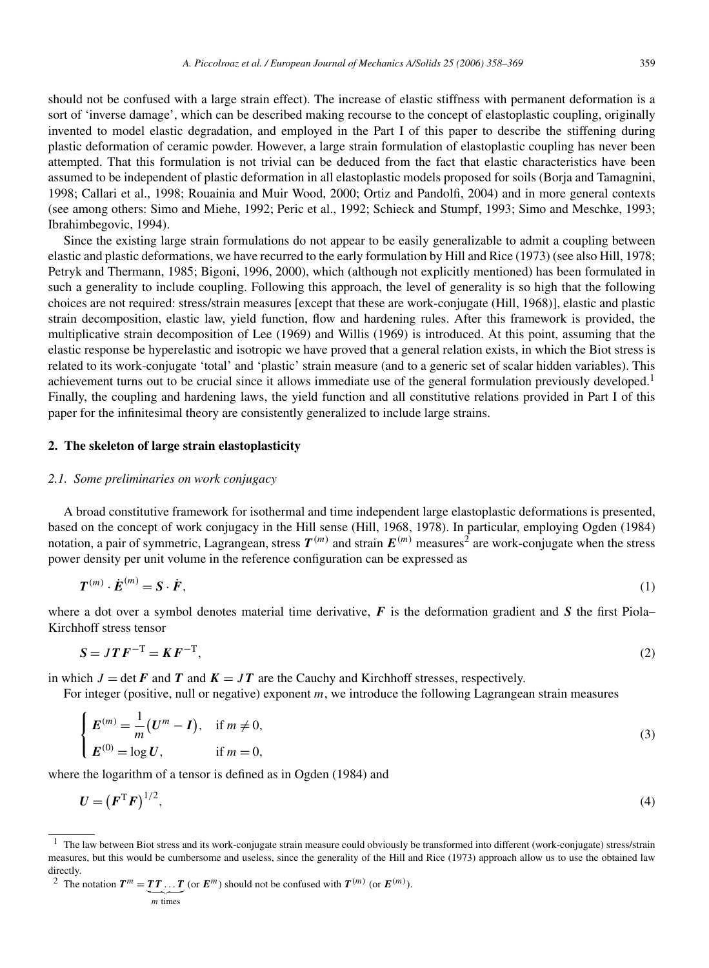should not be confused with a large strain effect). The increase of elastic stiffness with permanent deformation is a sort of 'inverse damage', which can be described making recourse to the concept of elastoplastic coupling, originally invented to model elastic degradation, and employed in the Part I of this paper to describe the stiffening during plastic deformation of ceramic powder. However, a large strain formulation of elastoplastic coupling has never been attempted. That this formulation is not trivial can be deduced from the fact that elastic characteristics have been assumed to be independent of plastic deformation in all elastoplastic models proposed for soils (Borja and Tamagnini, 1998; Callari et al., 1998; Rouainia and Muir Wood, 2000; Ortiz and Pandolfi, 2004) and in more general contexts (see among others: Simo and Miehe, 1992; Peric et al., 1992; Schieck and Stumpf, 1993; Simo and Meschke, 1993; Ibrahimbegovic, 1994).

Since the existing large strain formulations do not appear to be easily generalizable to admit a coupling between elastic and plastic deformations, we have recurred to the early formulation by Hill and Rice (1973) (see also Hill, 1978; Petryk and Thermann, 1985; Bigoni, 1996, 2000), which (although not explicitly mentioned) has been formulated in such a generality to include coupling. Following this approach, the level of generality is so high that the following choices are not required: stress/strain measures [except that these are work-conjugate (Hill, 1968)], elastic and plastic strain decomposition, elastic law, yield function, flow and hardening rules. After this framework is provided, the multiplicative strain decomposition of Lee (1969) and Willis (1969) is introduced. At this point, assuming that the elastic response be hyperelastic and isotropic we have proved that a general relation exists, in which the Biot stress is related to its work-conjugate 'total' and 'plastic' strain measure (and to a generic set of scalar hidden variables). This achievement turns out to be crucial since it allows immediate use of the general formulation previously developed.<sup>1</sup> Finally, the coupling and hardening laws, the yield function and all constitutive relations provided in Part I of this paper for the infinitesimal theory are consistently generalized to include large strains.

## **2. The skeleton of large strain elastoplasticity**

#### *2.1. Some preliminaries on work conjugacy*

 $\epsilon$ 

A broad constitutive framework for isothermal and time independent large elastoplastic deformations is presented, based on the concept of work conjugacy in the Hill sense (Hill, 1968, 1978). In particular, employing Ogden (1984) notation, a pair of symmetric, Lagrangean, stress  $T^{(m)}$  and strain  $E^{(m)}$  measures<sup>2</sup> are work-conjugate when the stress power density per unit volume in the reference configuration can be expressed as

$$
T^{(m)} \cdot \dot{E}^{(m)} = S \cdot \dot{F},\tag{1}
$$

where a dot over a symbol denotes material time derivative, *F* is the deformation gradient and *S* the first Piola– Kirchhoff stress tensor

$$
S = JTF^{-T} = KF^{-T},\tag{2}
$$

in which  $J = \det F$  and  $T$  and  $K = JT$  are the Cauchy and Kirchhoff stresses, respectively.

For integer (positive, null or negative) exponent *m*, we introduce the following Lagrangean strain measures

$$
\begin{cases}\nE^{(m)} = \frac{1}{m}(U^m - I), & \text{if } m \neq 0, \\
E^{(0)} = \log U, & \text{if } m = 0,\n\end{cases}
$$
\n(3)

where the logarithm of a tensor is defined as in Ogden (1984) and

$$
\boldsymbol{U} = \left(\boldsymbol{F}^{\mathrm{T}}\boldsymbol{F}\right)^{1/2},\tag{4}
$$

<sup>&</sup>lt;sup>1</sup> The law between Biot stress and its work-conjugate strain measure could obviously be transformed into different (work-conjugate) stress/strain measures, but this would be cumbersome and useless, since the generality of the Hill and Rice (1973) approach allow us to use the obtained law directly.

<sup>&</sup>lt;sup>2</sup> The notation  $T^m = T T \dots T$  (or  $E^m$ ) should not be confused with  $T^{(m)}$  (or  $E^{(m)}$ ). *m* times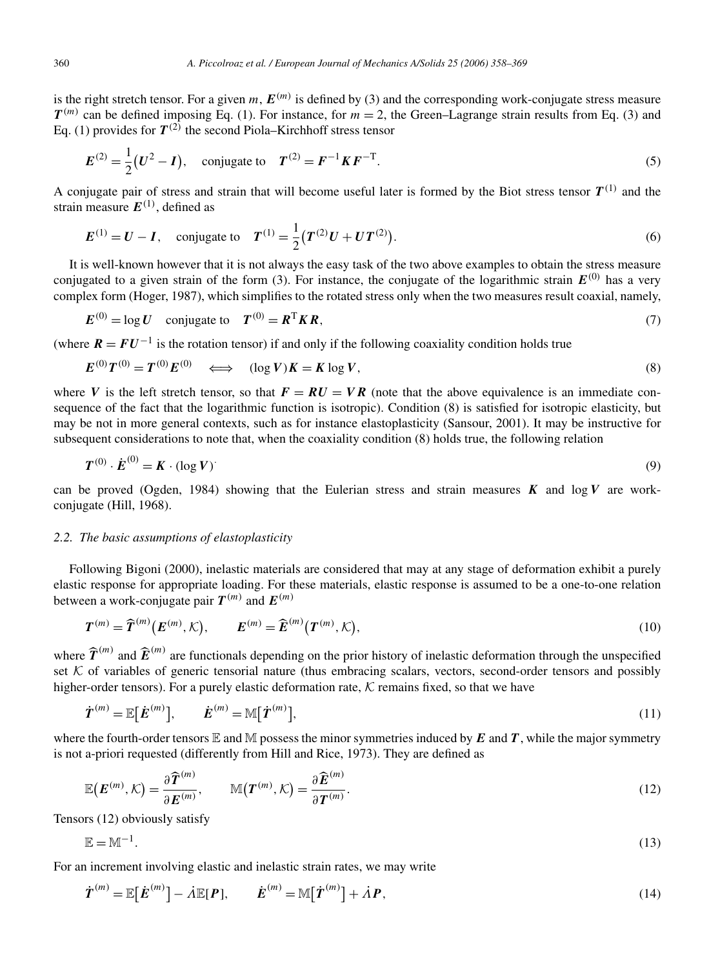is the right stretch tensor. For a given *m*,  $E^{(m)}$  is defined by (3) and the corresponding work-conjugate stress measure  $T^{(m)}$  can be defined imposing Eq. (1). For instance, for  $m = 2$ , the Green–Lagrange strain results from Eq. (3) and Eq. (1) provides for  $T^{(2)}$  the second Piola–Kirchhoff stress tensor

$$
E^{(2)} = \frac{1}{2}(U^2 - I), \quad \text{conjugate to} \quad T^{(2)} = F^{-1}KF^{-T}.
$$
 (5)

A conjugate pair of stress and strain that will become useful later is formed by the Biot stress tensor  $T^{(1)}$  and the strain measure *E(*1*)* , defined as

$$
E^{(1)} = U - I, \quad \text{conjugate to} \quad T^{(1)} = \frac{1}{2} (T^{(2)}U + UT^{(2)}).
$$
 (6)

It is well-known however that it is not always the easy task of the two above examples to obtain the stress measure conjugated to a given strain of the form (3). For instance, the conjugate of the logarithmic strain  $E^{(0)}$  has a very complex form (Hoger, 1987), which simplifies to the rotated stress only when the two measures result coaxial, namely,

$$
E^{(0)} = \log U \quad \text{conjugate to} \quad T^{(0)} = R^{T} K R, \tag{7}
$$

(where  $R = FU^{-1}$  is the rotation tensor) if and only if the following coaxiality condition holds true

$$
E^{(0)}T^{(0)} = T^{(0)}E^{(0)} \iff (\log V)K = K \log V,\tag{8}
$$

where *V* is the left stretch tensor, so that  $F = RU = VR$  (note that the above equivalence is an immediate consequence of the fact that the logarithmic function is isotropic). Condition (8) is satisfied for isotropic elasticity, but may be not in more general contexts, such as for instance elastoplasticity (Sansour, 2001). It may be instructive for subsequent considerations to note that, when the coaxiality condition (8) holds true, the following relation

$$
\boldsymbol{T}^{(0)} \cdot \dot{\boldsymbol{E}}^{(0)} = \boldsymbol{K} \cdot (\log \boldsymbol{V}) \tag{9}
$$

can be proved (Ogden, 1984) showing that the Eulerian stress and strain measures  $K$  and log  $V$  are workconjugate (Hill, 1968).

#### *2.2. The basic assumptions of elastoplasticity*

Following Bigoni (2000), inelastic materials are considered that may at any stage of deformation exhibit a purely elastic response for appropriate loading. For these materials, elastic response is assumed to be a one-to-one relation between a work-conjugate pair  $T^{(m)}$  and  $E^{(m)}$ 

$$
\boldsymbol{T}^{(m)} = \widehat{\boldsymbol{T}}^{(m)}(\boldsymbol{E}^{(m)}, \mathcal{K}), \qquad \boldsymbol{E}^{(m)} = \widehat{\boldsymbol{E}}^{(m)}(\boldsymbol{T}^{(m)}, \mathcal{K}), \tag{10}
$$

where  $\hat{T}^{(m)}$  and  $\hat{E}^{(m)}$  are functionals depending on the prior history of inelastic deformation through the unspecified set  $K$  of variables of generic tensorial nature (thus embracing scalars, vectors, second-order tensors and possibly higher-order tensors). For a purely elastic deformation rate,  $K$  remains fixed, so that we have

$$
\dot{T}^{(m)} = \mathbb{E}[\dot{E}^{(m)}], \qquad \dot{E}^{(m)} = \mathbb{M}[\dot{T}^{(m)}],
$$
\n(11)

where the fourth-order tensors  $E$  and  $M$  possess the minor symmetries induced by  $E$  and  $T$ , while the major symmetry is not a-priori requested (differently from Hill and Rice, 1973). They are defined as

$$
\mathbb{E}\big(\boldsymbol{E}^{(m)},\mathcal{K}\big)=\frac{\partial\widehat{\boldsymbol{T}}^{(m)}}{\partial\boldsymbol{E}^{(m)}},\qquad\mathbb{M}\big(\boldsymbol{T}^{(m)},\mathcal{K}\big)=\frac{\partial\widehat{\boldsymbol{E}}^{(m)}}{\partial\boldsymbol{T}^{(m)}}.\tag{12}
$$

Tensors (12) obviously satisfy

$$
\mathbb{E} = \mathbb{M}^{-1}.\tag{13}
$$

For an increment involving elastic and inelastic strain rates, we may write

$$
\dot{\boldsymbol{T}}^{(m)} = \mathbb{E}[\dot{\boldsymbol{E}}^{(m)}] - \dot{\boldsymbol{\Lambda}} \mathbb{E}[\boldsymbol{P}], \qquad \dot{\boldsymbol{E}}^{(m)} = \mathbb{M}[\dot{\boldsymbol{T}}^{(m)}] + \dot{\boldsymbol{\Lambda}} \boldsymbol{P}, \tag{14}
$$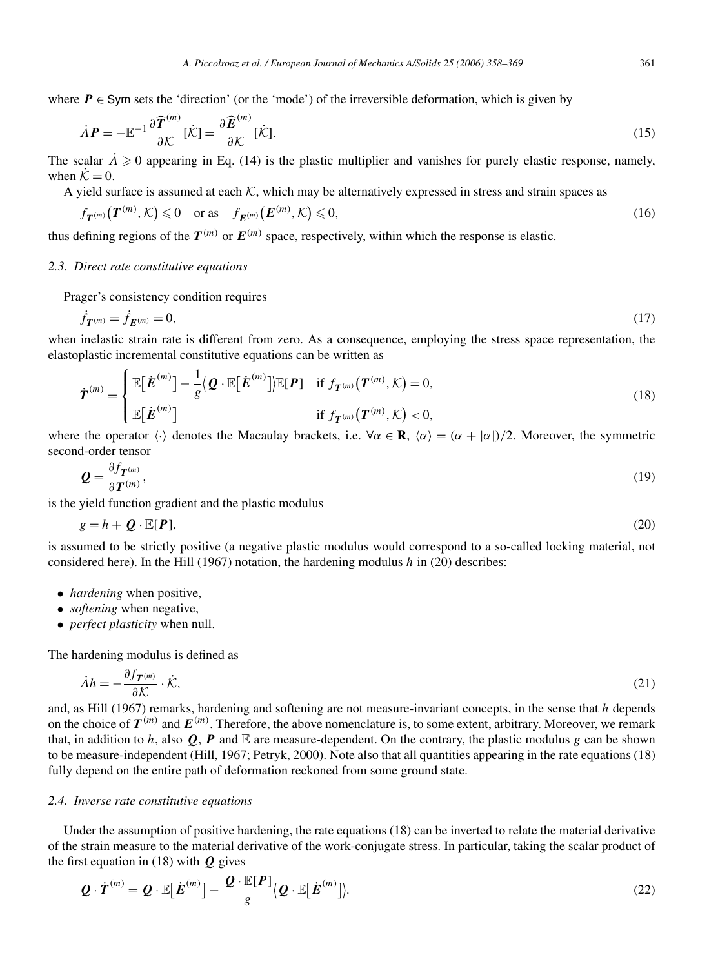where  $P \in Sym$  sets the 'direction' (or the 'mode') of the irreversible deformation, which is given by

$$
\dot{\Lambda}\mathbf{P} = -\mathbb{E}^{-1}\frac{\partial \widehat{\mathbf{\mathcal{I}}}^{(m)}}{\partial \mathcal{K}}[\dot{\mathcal{K}}] = \frac{\partial \widehat{\mathbf{\mathcal{E}}}^{(m)}}{\partial \mathcal{K}}[\dot{\mathcal{K}}].
$$
\n(15)

The scalar  $\Lambda \geq 0$  appearing in Eq. (14) is the plastic multiplier and vanishes for purely elastic response, namely, when  $\dot{\mathcal{K}} = 0$ .

A yield surface is assumed at each  $K$ , which may be alternatively expressed in stress and strain spaces as

$$
f_{\boldsymbol{T}^{(m)}}(\boldsymbol{T}^{(m)},\mathcal{K}) \leq 0 \quad \text{or as} \quad f_{\boldsymbol{E}^{(m)}}(\boldsymbol{E}^{(m)},\mathcal{K}) \leq 0,\tag{16}
$$

thus defining regions of the  $T^{(m)}$  or  $E^{(m)}$  space, respectively, within which the response is elastic.

## *2.3. Direct rate constitutive equations*

Prager's consistency condition requires

$$
\dot{f}_{T^{(m)}} = \dot{f}_{E^{(m)}} = 0,\tag{17}
$$

when inelastic strain rate is different from zero. As a consequence, employing the stress space representation, the elastoplastic incremental constitutive equations can be written as

$$
\dot{\boldsymbol{T}}^{(m)} = \begin{cases} \mathbb{E}[\dot{\boldsymbol{E}}^{(m)}] - \frac{1}{g} \langle \boldsymbol{Q} \cdot \mathbb{E}[\dot{\boldsymbol{E}}^{(m)}] \rangle \mathbb{E}[\boldsymbol{P}] & \text{if } f_{\boldsymbol{T}^{(m)}}(\boldsymbol{T}^{(m)}, \mathcal{K}) = 0, \\ \mathbb{E}[\dot{\boldsymbol{E}}^{(m)}] & \text{if } f_{\boldsymbol{T}^{(m)}}(\boldsymbol{T}^{(m)}, \mathcal{K}) < 0, \end{cases} \tag{18}
$$

where the operator  $\langle \cdot \rangle$  denotes the Macaulay brackets, i.e.  $\forall \alpha \in \mathbf{R}$ ,  $\langle \alpha \rangle = (\alpha + |\alpha|)/2$ . Moreover, the symmetric second-order tensor

$$
\mathbf{Q} = \frac{\partial f_{\mathbf{T}^{(m)}}}{\partial \mathbf{T}^{(m)}},\tag{19}
$$

is the yield function gradient and the plastic modulus

$$
g = h + \mathbf{Q} \cdot \mathbb{E}[\mathbf{P}], \tag{20}
$$

is assumed to be strictly positive (a negative plastic modulus would correspond to a so-called locking material, not considered here). In the Hill (1967) notation, the hardening modulus *h* in (20) describes:

- *hardening* when positive,
- *softening* when negative,
- *perfect plasticity* when null.

The hardening modulus is defined as

$$
\dot{A}h = -\frac{\partial f_{T^{(m)}}}{\partial \mathcal{K}} \cdot \dot{\mathcal{K}},\tag{21}
$$

and, as Hill (1967) remarks, hardening and softening are not measure-invariant concepts, in the sense that *h* depends on the choice of  $T^{(m)}$  and  $E^{(m)}$ . Therefore, the above nomenclature is, to some extent, arbitrary. Moreover, we remark that, in addition to *h*, also  $Q$ ,  $P$  and  $E$  are measure-dependent. On the contrary, the plastic modulus  $g$  can be shown to be measure-independent (Hill, 1967; Petryk, 2000). Note also that all quantities appearing in the rate equations (18) fully depend on the entire path of deformation reckoned from some ground state.

#### *2.4. Inverse rate constitutive equations*

Under the assumption of positive hardening, the rate equations (18) can be inverted to relate the material derivative of the strain measure to the material derivative of the work-conjugate stress. In particular, taking the scalar product of the first equation in (18) with *Q* gives

$$
\mathbf{Q} \cdot \dot{\mathbf{T}}^{(m)} = \mathbf{Q} \cdot \mathbb{E}[\dot{\mathbf{E}}^{(m)}] - \frac{\mathbf{Q} \cdot \mathbb{E}[\mathbf{P}]}{g} \langle \mathbf{Q} \cdot \mathbb{E}[\dot{\mathbf{E}}^{(m)}] \rangle.
$$
 (22)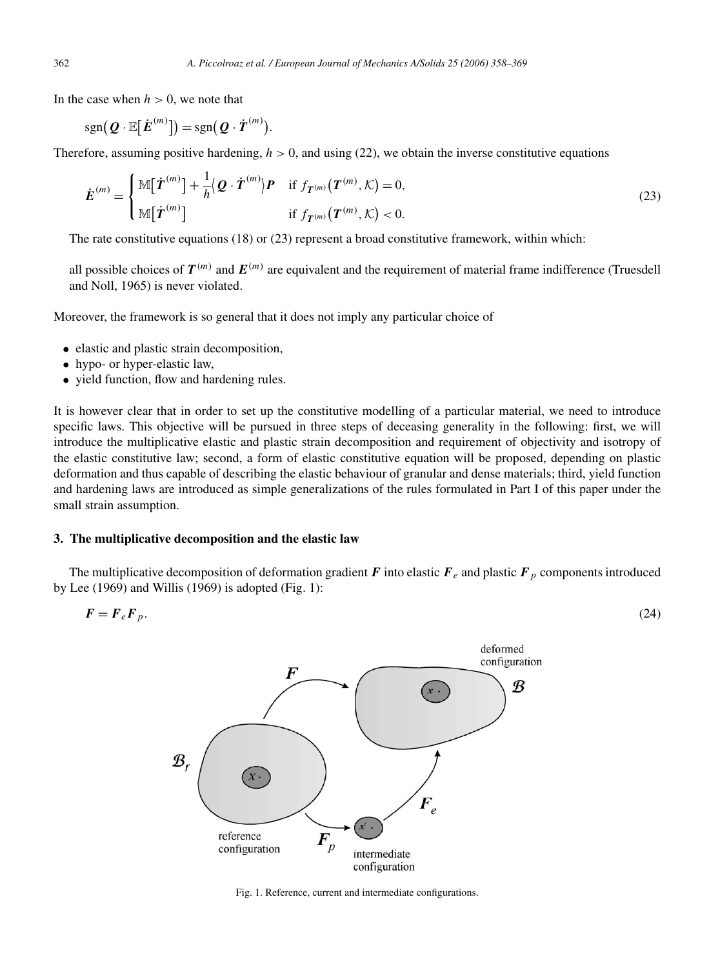In the case when  $h > 0$ , we note that

$$
\mathrm{sgn}(\boldsymbol{Q}\cdot\mathbb{E}[\dot{\boldsymbol{E}}^{(m)}])=\mathrm{sgn}(\boldsymbol{Q}\cdot\dot{\boldsymbol{T}}^{(m)}).
$$

Therefore, assuming positive hardening,  $h > 0$ , and using (22), we obtain the inverse constitutive equations

$$
\dot{E}^{(m)} = \begin{cases} \mathbb{M}[\dot{T}^{(m)}] + \frac{1}{h} \langle \mathcal{Q} \cdot \dot{T}^{(m)} \rangle \mathbf{P} & \text{if } f_{T^{(m)}}(T^{(m)}, \mathcal{K}) = 0, \\ \mathbb{M}[\dot{T}^{(m)}] & \text{if } f_{T^{(m)}}(T^{(m)}, \mathcal{K}) < 0. \end{cases}
$$
(23)

The rate constitutive equations (18) or (23) represent a broad constitutive framework, within which:

all possible choices of  $T^{(m)}$  and  $E^{(m)}$  are equivalent and the requirement of material frame indifference (Truesdell and Noll, 1965) is never violated.

Moreover, the framework is so general that it does not imply any particular choice of

- elastic and plastic strain decomposition,
- hypo- or hyper-elastic law,
- yield function, flow and hardening rules.

It is however clear that in order to set up the constitutive modelling of a particular material, we need to introduce specific laws. This objective will be pursued in three steps of deceasing generality in the following: first, we will introduce the multiplicative elastic and plastic strain decomposition and requirement of objectivity and isotropy of the elastic constitutive law; second, a form of elastic constitutive equation will be proposed, depending on plastic deformation and thus capable of describing the elastic behaviour of granular and dense materials; third, yield function and hardening laws are introduced as simple generalizations of the rules formulated in Part I of this paper under the small strain assumption.

## **3. The multiplicative decomposition and the elastic law**

The multiplicative decomposition of deformation gradient *F* into elastic  $F_e$  and plastic  $F_p$  components introduced by Lee (1969) and Willis (1969) is adopted (Fig. 1):

$$
F = F_e F_p. \tag{24}
$$



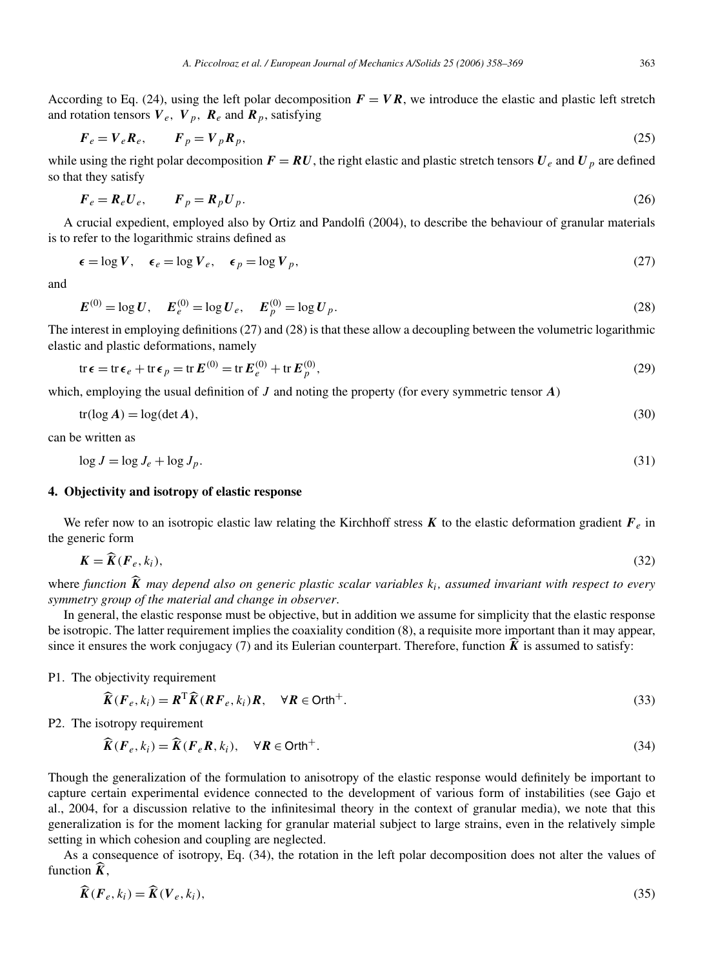According to Eq. (24), using the left polar decomposition  $F = VR$ , we introduce the elastic and plastic left stretch and rotation tensors  $V_e$ ,  $V_p$ ,  $R_e$  and  $R_p$ , satisfying

$$
\boldsymbol{F}_e = \boldsymbol{V}_e \boldsymbol{R}_e, \qquad \boldsymbol{F}_p = \boldsymbol{V}_p \boldsymbol{R}_p,\tag{25}
$$

while using the right polar decomposition  $F = RU$ , the right elastic and plastic stretch tensors  $U_e$  and  $U_p$  are defined so that they satisfy

$$
\boldsymbol{F}_e = \boldsymbol{R}_e \boldsymbol{U}_e, \qquad \boldsymbol{F}_p = \boldsymbol{R}_p \boldsymbol{U}_p. \tag{26}
$$

A crucial expedient, employed also by Ortiz and Pandolfi (2004), to describe the behaviour of granular materials is to refer to the logarithmic strains defined as

$$
\epsilon = \log V, \quad \epsilon_e = \log V_e, \quad \epsilon_p = \log V_p,\tag{27}
$$

and

$$
E^{(0)} = \log U, \quad E_e^{(0)} = \log U_e, \quad E_p^{(0)} = \log U_p. \tag{28}
$$

The interest in employing definitions (27) and (28) is that these allow a decoupling between the volumetric logarithmic elastic and plastic deformations, namely

$$
\text{tr}\,\epsilon = \text{tr}\,\epsilon_e + \text{tr}\,\epsilon_p = \text{tr}\,E^{(0)} = \text{tr}\,E^{(0)}_e + \text{tr}\,E^{(0)}_p,\tag{29}
$$

which, employing the usual definition of *J* and noting the property (for every symmetric tensor *A*)

$$
tr(\log A) = \log(\det A),\tag{30}
$$

can be written as

$$
\log J = \log J_e + \log J_p. \tag{31}
$$

#### **4. Objectivity and isotropy of elastic response**

We refer now to an isotropic elastic law relating the Kirchhoff stress  $K$  to the elastic deformation gradient  $F_e$  in the generic form

$$
\mathbf{K} = \widehat{\mathbf{K}}(\mathbf{F}_e, k_i),\tag{32}
$$

where *function K may depend also on generic plastic scalar variables ki, assumed invariant with respect to every symmetry group of the material and change in observer*.

In general, the elastic response must be objective, but in addition we assume for simplicity that the elastic response be isotropic. The latter requirement implies the coaxiality condition (8), a requisite more important than it may appear, since it ensures the work conjugacy  $(7)$  and its Eulerian counterpart. Therefore, function  $K$  is assumed to satisfy:

#### P1. The objectivity requirement

$$
\widehat{\boldsymbol{K}}(\boldsymbol{F}_e, k_i) = \boldsymbol{R}^{\mathrm{T}} \widehat{\boldsymbol{K}}(\boldsymbol{R}\boldsymbol{F}_e, k_i) \boldsymbol{R}, \quad \forall \boldsymbol{R} \in \text{Orth}^+. \tag{33}
$$

P2. The isotropy requirement

$$
\widehat{\mathbf{K}}(\mathbf{F}_e, k_i) = \widehat{\mathbf{K}}(\mathbf{F}_e \mathbf{R}, k_i), \quad \forall \mathbf{R} \in \text{Orth}^+. \tag{34}
$$

Though the generalization of the formulation to anisotropy of the elastic response would definitely be important to capture certain experimental evidence connected to the development of various form of instabilities (see Gajo et al., 2004, for a discussion relative to the infinitesimal theory in the context of granular media), we note that this generalization is for the moment lacking for granular material subject to large strains, even in the relatively simple setting in which cohesion and coupling are neglected.

As a consequence of isotropy, Eq. (34), the rotation in the left polar decomposition does not alter the values of function  $\vec{\bm{K}}$ ,

$$
\widehat{\mathbf{K}}(\mathbf{F}_e, k_i) = \widehat{\mathbf{K}}(\mathbf{V}_e, k_i),\tag{35}
$$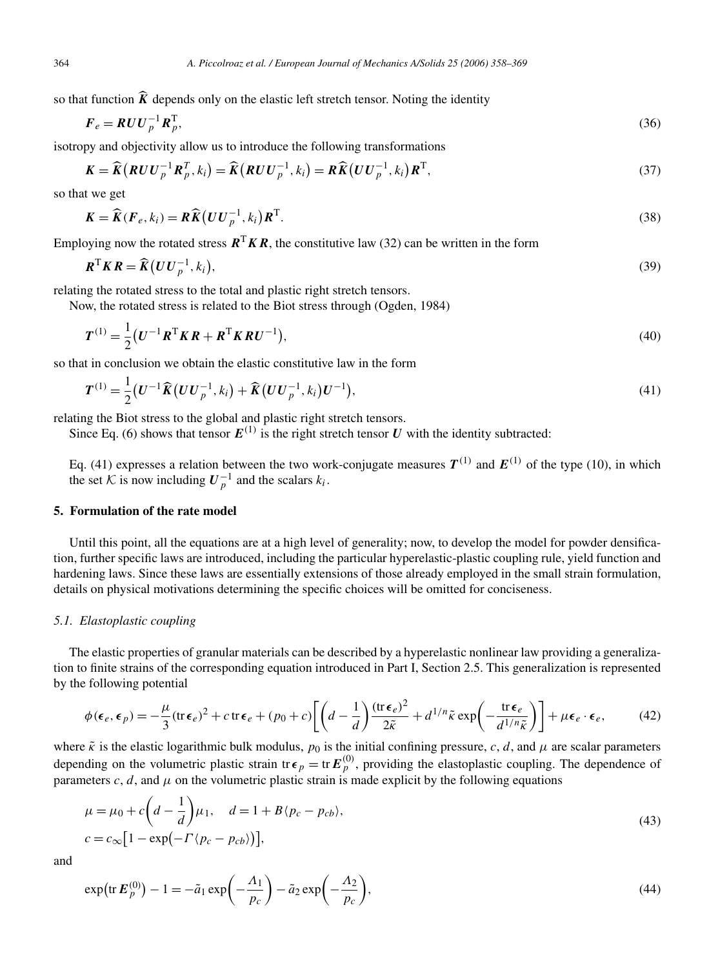so that function  $\vec{K}$  depends only on the elastic left stretch tensor. Noting the identity

$$
\boldsymbol{F}_e = \boldsymbol{R} \boldsymbol{U} \boldsymbol{U}_p^{-1} \boldsymbol{R}_p^{\mathrm{T}},\tag{36}
$$

isotropy and objectivity allow us to introduce the following transformations

$$
\mathbf{K} = \widehat{\mathbf{K}} \left( \mathbf{R} U \mathbf{U}_p^{-1} \mathbf{R}_p^T, k_i \right) = \widehat{\mathbf{K}} \left( \mathbf{R} U \mathbf{U}_p^{-1}, k_i \right) = \mathbf{R} \widehat{\mathbf{K}} \left( U \mathbf{U}_p^{-1}, k_i \right) \mathbf{R}^T, \tag{37}
$$

so that we get

$$
\mathbf{K} = \widehat{\mathbf{K}}(\mathbf{F}_e, k_i) = \mathbf{R}\widehat{\mathbf{K}}\left(\mathbf{U}\mathbf{U}_p^{-1}, k_i\right)\mathbf{R}^{\mathrm{T}}.\tag{38}
$$

Employing now the rotated stress  $R^{T} K R$ , the constitutive law (32) can be written in the form

$$
\boldsymbol{R}^{\mathrm{T}}\boldsymbol{K}\boldsymbol{R}=\widehat{\boldsymbol{K}}\left(\boldsymbol{U}\boldsymbol{U}_{p}^{-1},k_{i}\right),\tag{39}
$$

relating the rotated stress to the total and plastic right stretch tensors.

Now, the rotated stress is related to the Biot stress through (Ogden, 1984)

$$
T^{(1)} = \frac{1}{2} (U^{-1}R^{T}KR + R^{T}KRU^{-1}),
$$
\n(40)

so that in conclusion we obtain the elastic constitutive law in the form

$$
T^{(1)} = \frac{1}{2} (U^{-1} \widehat{K} (U U_p^{-1}, k_i) + \widehat{K} (U U_p^{-1}, k_i) U^{-1}),
$$
\n(41)

relating the Biot stress to the global and plastic right stretch tensors.

Since Eq. (6) shows that tensor  $E^{(1)}$  is the right stretch tensor *U* with the identity subtracted:

Eq. (41) expresses a relation between the two work-conjugate measures  $T^{(1)}$  and  $E^{(1)}$  of the type (10), in which the set K is now including  $U_p^{-1}$  and the scalars  $k_i$ .

# **5. Formulation of the rate model**

Until this point, all the equations are at a high level of generality; now, to develop the model for powder densification, further specific laws are introduced, including the particular hyperelastic-plastic coupling rule, yield function and hardening laws. Since these laws are essentially extensions of those already employed in the small strain formulation, details on physical motivations determining the specific choices will be omitted for conciseness.

## *5.1. Elastoplastic coupling*

The elastic properties of granular materials can be described by a hyperelastic nonlinear law providing a generalization to finite strains of the corresponding equation introduced in Part I, Section 2.5. This generalization is represented by the following potential

$$
\phi(\epsilon_e, \epsilon_p) = -\frac{\mu}{3} (\text{tr}\,\epsilon_e)^2 + c \,\text{tr}\,\epsilon_e + (p_0 + c) \bigg[ \bigg( d - \frac{1}{d} \bigg) \frac{(\text{tr}\,\epsilon_e)^2}{2\tilde{\kappa}} + d^{1/n} \tilde{\kappa} \exp \bigg( -\frac{\text{tr}\,\epsilon_e}{d^{1/n} \tilde{\kappa}} \bigg) \bigg] + \mu \epsilon_e \cdot \epsilon_e, \tag{42}
$$

where  $\tilde{\kappa}$  is the elastic logarithmic bulk modulus,  $p_0$  is the initial confining pressure, *c*, *d*, and  $\mu$  are scalar parameters depending on the volumetric plastic strain tr $\epsilon_p = \text{tr } E_p^{(0)}$ , providing the elastoplastic coupling. The dependence of parameters  $c, d$ , and  $\mu$  on the volumetric plastic strain is made explicit by the following equations

$$
\mu = \mu_0 + c \left( d - \frac{1}{d} \right) \mu_1, \quad d = 1 + B \langle p_c - p_{cb} \rangle,
$$
  

$$
c = c_{\infty} \left[ 1 - \exp \left( -\Gamma \langle p_c - p_{cb} \rangle \right) \right],
$$
 (43)

and

$$
\exp\left(\operatorname{tr} \boldsymbol{E}_p^{(0)}\right) - 1 = -\tilde{a}_1 \exp\left(-\frac{\Lambda_1}{p_c}\right) - \tilde{a}_2 \exp\left(-\frac{\Lambda_2}{p_c}\right),\tag{44}
$$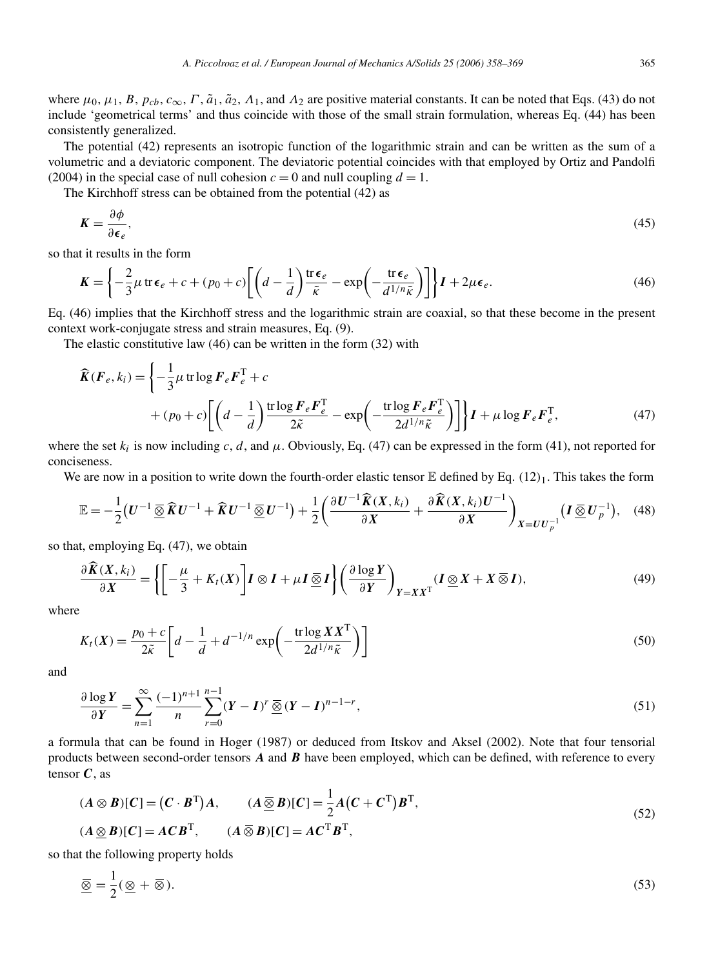where  $\mu_0$ ,  $\mu_1$ ,  $B$ ,  $p_{cb}$ ,  $c_{\infty}$ ,  $\Gamma$ ,  $\tilde{a}_1$ ,  $\tilde{a}_2$ ,  $A_1$ , and  $A_2$  are positive material constants. It can be noted that Eqs. (43) do not include 'geometrical terms' and thus coincide with those of the small strain formulation, whereas Eq. (44) has been consistently generalized.

The potential (42) represents an isotropic function of the logarithmic strain and can be written as the sum of a volumetric and a deviatoric component. The deviatoric potential coincides with that employed by Ortiz and Pandolfi (2004) in the special case of null cohesion  $c = 0$  and null coupling  $d = 1$ .

The Kirchhoff stress can be obtained from the potential (42) as

$$
K = \frac{\partial \phi}{\partial \epsilon_e},\tag{45}
$$

so that it results in the form

$$
\mathbf{K} = \left\{ -\frac{2}{3}\mu \operatorname{tr} \boldsymbol{\epsilon}_e + c + (p_0 + c) \left[ \left( d - \frac{1}{d} \right) \frac{\operatorname{tr} \boldsymbol{\epsilon}_e}{\tilde{\kappa}} - \exp \left( -\frac{\operatorname{tr} \boldsymbol{\epsilon}_e}{d^{1/n} \tilde{\kappa}} \right) \right] \right\} \boldsymbol{I} + 2\mu \boldsymbol{\epsilon}_e. \tag{46}
$$

Eq. (46) implies that the Kirchhoff stress and the logarithmic strain are coaxial, so that these become in the present context work-conjugate stress and strain measures, Eq. (9).

The elastic constitutive law (46) can be written in the form (32) with

$$
\widehat{K}(F_e, k_i) = \left\{ -\frac{1}{3}\mu \operatorname{tr}\log F_e F_e^{\mathrm{T}} + c \n+ (p_0 + c) \left[ \left( d - \frac{1}{d} \right) \frac{\operatorname{tr}\log F_e F_e^{\mathrm{T}}}{2\tilde{\kappa}} - \exp\left( -\frac{\operatorname{tr}\log F_e F_e^{\mathrm{T}}}{2d^{1/n}\tilde{\kappa}} \right) \right] \right\} I + \mu \log F_e F_e^{\mathrm{T}},
$$
\n(47)

where the set  $k_i$  is now including  $c, d$ , and  $\mu$ . Obviously, Eq. (47) can be expressed in the form (41), not reported for conciseness.

We are now in a position to write down the fourth-order elastic tensor  $E$  defined by Eq.  $(12)_1$ . This takes the form

$$
\mathbb{E} = -\frac{1}{2} \left( U^{-1} \underline{\otimes} \widehat{K} U^{-1} + \widehat{K} U^{-1} \underline{\otimes} U^{-1} \right) + \frac{1}{2} \left( \frac{\partial U^{-1} \widehat{K}(X, k_i)}{\partial X} + \frac{\partial \widehat{K}(X, k_i) U^{-1}}{\partial X} \right)_{X = U U_p^{-1}} \left( I \underline{\otimes} U_p^{-1} \right), \quad (48)
$$

so that, employing Eq. (47), we obtain

$$
\frac{\partial \widehat{K}(X,k_i)}{\partial X} = \left\{ \left[ -\frac{\mu}{3} + K_t(X) \right] I \otimes I + \mu I \underline{\overline{\otimes}} I \right\} \left( \frac{\partial \log Y}{\partial Y} \right)_{Y = XX^{\mathrm{T}}} (I \underline{\otimes} X + X \overline{\otimes} I),\tag{49}
$$

where

$$
K_t(X) = \frac{p_0 + c}{2\tilde{\kappa}} \left[ d - \frac{1}{d} + d^{-1/n} \exp\left( -\frac{\text{tr}\log XX^{\text{T}}}{2d^{1/n}\tilde{\kappa}} \right) \right]
$$
(50)

and

$$
\frac{\partial \log Y}{\partial Y} = \sum_{n=1}^{\infty} \frac{(-1)^{n+1}}{n} \sum_{r=0}^{n-1} (Y - I)^r \underline{\overline{\otimes}} (Y - I)^{n-1-r},\tag{51}
$$

a formula that can be found in Hoger (1987) or deduced from Itskov and Aksel (2002). Note that four tensorial products between second-order tensors *A* and *B* have been employed, which can be defined, with reference to every tensor *C*, as

$$
(A \otimes B)[C] = (C \cdot B^{T})A, \qquad (A \underline{\overline{\otimes}} B)[C] = \frac{1}{2}A(C + C^{T})B^{T},
$$
  

$$
(A \underline{\otimes} B)[C] = ACB^{T}, \qquad (A \overline{\otimes} B)[C] = AC^{T}B^{T},
$$
\n
$$
(52)
$$

so that the following property holds

$$
\underline{\overline{\otimes}} = \frac{1}{2} (\underline{\otimes} + \overline{\otimes}). \tag{53}
$$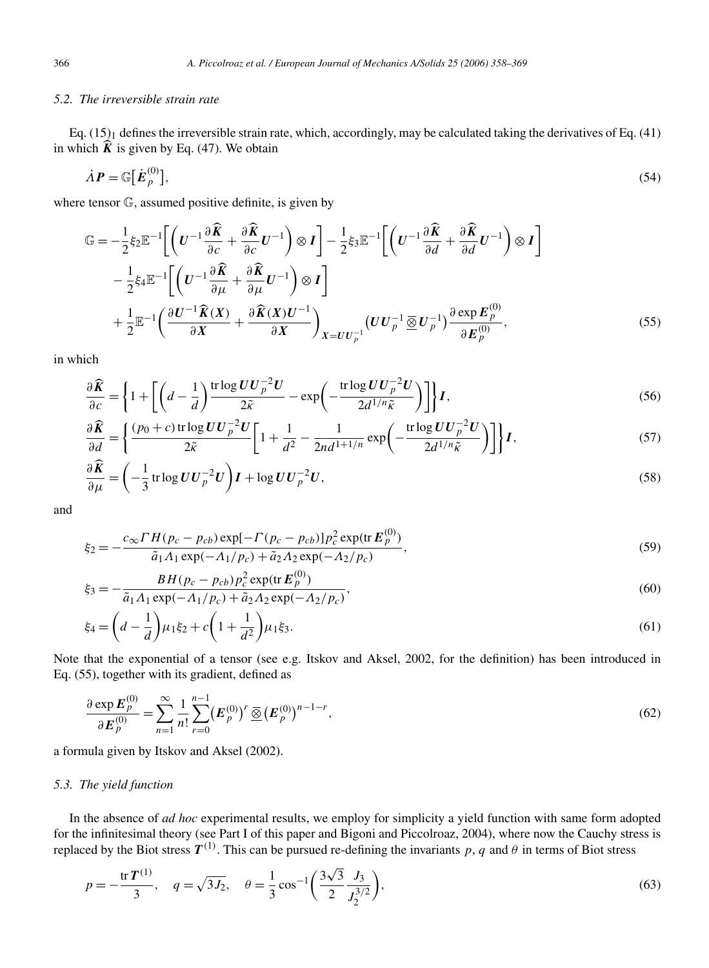# *5.2. The irreversible strain rate*

Eq.  $(15)$ <sub>1</sub> defines the irreversible strain rate, which, accordingly, may be calculated taking the derivatives of Eq.  $(41)$ in which  $K$  is given by Eq. (47). We obtain

$$
\dot{A}\mathbf{P} = \mathbb{G}\big[\dot{\mathbf{E}}_p^{(0)}\big],\tag{54}
$$

where tensor  $\mathbb{G}$ , assumed positive definite, is given by

J.

 $\mathbb{R}^2$ 

$$
\mathbb{G} = -\frac{1}{2}\xi_2 \mathbb{E}^{-1} \Bigg[ \Bigg( U^{-1} \frac{\partial \widehat{K}}{\partial c} + \frac{\partial \widehat{K}}{\partial c} U^{-1} \Bigg) \otimes I \Bigg] - \frac{1}{2}\xi_3 \mathbb{E}^{-1} \Bigg[ \Bigg( U^{-1} \frac{\partial \widehat{K}}{\partial d} + \frac{\partial \widehat{K}}{\partial d} U^{-1} \Bigg) \otimes I \Bigg] - \frac{1}{2}\xi_4 \mathbb{E}^{-1} \Bigg[ \Bigg( U^{-1} \frac{\partial \widehat{K}}{\partial \mu} + \frac{\partial \widehat{K}}{\partial \mu} U^{-1} \Bigg) \otimes I \Bigg] + \frac{1}{2} \mathbb{E}^{-1} \Bigg( \frac{\partial U^{-1} \widehat{K}(X)}{\partial X} + \frac{\partial \widehat{K}(X) U^{-1}}{\partial X} \Bigg)_{X=UU_p^{-1}} \Big( U U_p^{-1} \underline{\overline{\otimes}} U_p^{-1} \Bigg) \frac{\partial \exp E_p^{(0)}}{\partial E_p^{(0)}},
$$
(55)

in which

$$
\frac{\partial \widehat{K}}{\partial c} = \left\{ 1 + \left[ \left( d - \frac{1}{d} \right) \frac{\text{tr}\log U U_p^{-2} U}{2\tilde{\kappa}} - \exp\left( -\frac{\text{tr}\log U U_p^{-2} U}{2d^{1/n} \tilde{\kappa}} \right) \right] \right\} I,\tag{56}
$$

$$
\frac{\partial \widehat{\mathbf{K}}}{\partial d} = \left\{ \frac{(p_0 + c) \operatorname{tr} \log U U_p^{-2} U}{2 \tilde{\kappa}} \left[ 1 + \frac{1}{d^2} - \frac{1}{2n d^{1+1/n}} \exp\left( -\frac{\operatorname{tr} \log U U_p^{-2} U}{2 d^{1/n} \tilde{\kappa}} \right) \right] \right\} I, \tag{57}
$$

$$
\frac{\partial \widehat{K}}{\partial \mu} = \left( -\frac{1}{3} \text{tr} \log U U_p^{-2} U \right) I + \log U U_p^{-2} U,\tag{58}
$$

and

$$
\xi_2 = -\frac{c_{\infty} \Gamma H (p_c - p_{cb}) \exp[-\Gamma(p_c - p_{cb})] p_c^2 \exp(\text{tr } E_p^{(0)})}{\tilde{a}_1 A_1 \exp(-A_1/p_c) + \tilde{a}_2 A_2 \exp(-A_2/p_c)},
$$
\n(59)

$$
\xi_3 = -\frac{BH(p_c - p_{cb})p_c^2 \exp(\text{tr}\,E_p^{(0)})}{\tilde{a}_1 A_1 \exp(-A_1/p_c) + \tilde{a}_2 A_2 \exp(-A_2/p_c)},\tag{60}
$$

$$
\xi_4 = \left(d - \frac{1}{d}\right)\mu_1 \xi_2 + c\left(1 + \frac{1}{d^2}\right)\mu_1 \xi_3. \tag{61}
$$

Note that the exponential of a tensor (see e.g. Itskov and Aksel, 2002, for the definition) has been introduced in Eq. (55), together with its gradient, defined as

$$
\frac{\partial \exp E_p^{(0)}}{\partial E_p^{(0)}} = \sum_{n=1}^{\infty} \frac{1}{n!} \sum_{r=0}^{n-1} \left( E_p^{(0)} \right)^r \overline{\underline{\otimes}} \left( E_p^{(0)} \right)^{n-1-r},\tag{62}
$$

a formula given by Itskov and Aksel (2002).

## *5.3. The yield function*

In the absence of *ad hoc* experimental results, we employ for simplicity a yield function with same form adopted for the infinitesimal theory (see Part I of this paper and Bigoni and Piccolroaz, 2004), where now the Cauchy stress is replaced by the Biot stress  $T^{(1)}$ . This can be pursued re-defining the invariants p, q and  $\theta$  in terms of Biot stress

$$
p = -\frac{\text{tr}\,T^{(1)}}{3}, \quad q = \sqrt{3J_2}, \quad \theta = \frac{1}{3}\cos^{-1}\left(\frac{3\sqrt{3}}{2}\frac{J_3}{J_2^{3/2}}\right),\tag{63}
$$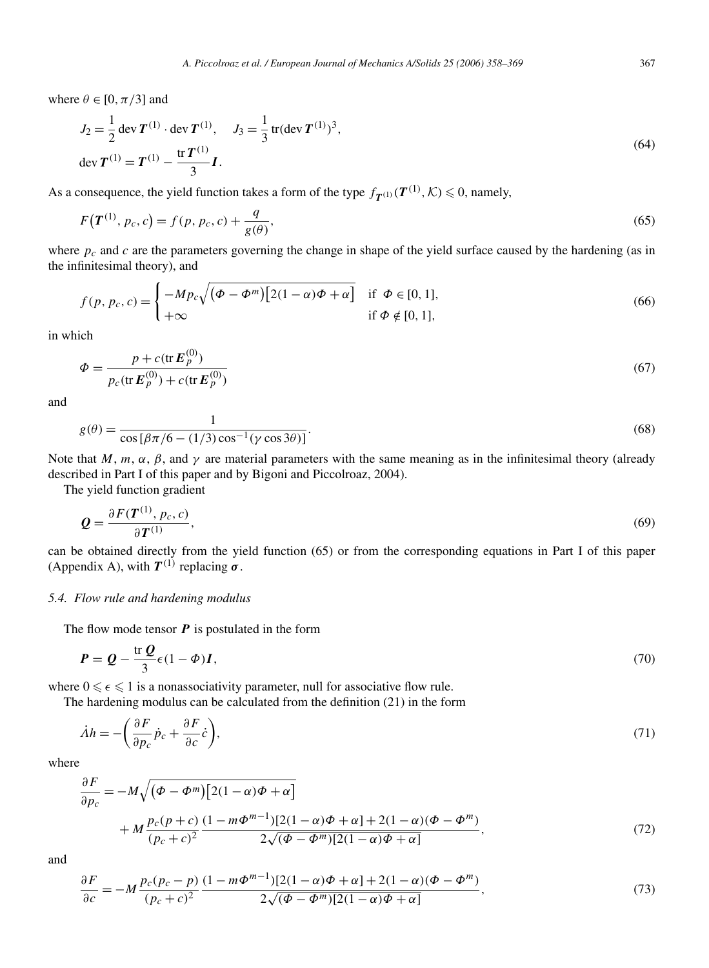where  $\theta \in [0, \pi/3]$  and

$$
J_2 = \frac{1}{2} \operatorname{dev} \boldsymbol{T}^{(1)} \cdot \operatorname{dev} \boldsymbol{T}^{(1)}, \quad J_3 = \frac{1}{3} \operatorname{tr} (\operatorname{dev} \boldsymbol{T}^{(1)})^3,
$$
  
 
$$
\operatorname{dev} \boldsymbol{T}^{(1)} = \boldsymbol{T}^{(1)} - \frac{\operatorname{tr} \boldsymbol{T}^{(1)}}{3} \boldsymbol{I}.
$$
 (64)

As a consequence, the yield function takes a form of the type  $f_{T^{(1)}}(T^{(1)}, K) \leq 0$ , namely,

$$
F(T^{(1)}, p_c, c) = f(p, p_c, c) + \frac{q}{g(\theta)},
$$
\n(65)

where  $p_c$  and  $c$  are the parameters governing the change in shape of the yield surface caused by the hardening (as in the infinitesimal theory), and

$$
f(p, p_c, c) = \begin{cases} -Mp_c \sqrt{(\Phi - \Phi^m) [2(1 - \alpha)\Phi + \alpha]} & \text{if } \Phi \in [0, 1], \\ +\infty & \text{if } \Phi \notin [0, 1], \end{cases}
$$
(66)

in which

$$
\Phi = \frac{p + c(\text{tr}\, E_p^{(0)})}{p_c(\text{tr}\, E_p^{(0)}) + c(\text{tr}\, E_p^{(0)})}
$$
(67)

and

$$
g(\theta) = \frac{1}{\cos\left[\beta\pi/6 - (1/3)\cos^{-1}(\gamma\cos 3\theta)\right]}.
$$
\n(68)

Note that  $M$ ,  $m$ ,  $\alpha$ ,  $\beta$ , and  $\gamma$  are material parameters with the same meaning as in the infinitesimal theory (already described in Part I of this paper and by Bigoni and Piccolroaz, 2004).

The yield function gradient

$$
\mathbf{Q} = \frac{\partial F(\mathbf{T}^{(1)}, p_c, c)}{\partial \mathbf{T}^{(1)}},\tag{69}
$$

can be obtained directly from the yield function (65) or from the corresponding equations in Part I of this paper (Appendix A), with  $T^{(1)}$  replacing  $\sigma$ .

## *5.4. Flow rule and hardening modulus*

The flow mode tensor  $P$  is postulated in the form

$$
P = Q - \frac{\text{tr } Q}{3} \epsilon (1 - \Phi) I,\tag{70}
$$

where  $0 \le \epsilon \le 1$  is a nonassociativity parameter, null for associative flow rule.

The hardening modulus can be calculated from the definition (21) in the form

$$
\dot{A}h = -\left(\frac{\partial F}{\partial p_c}\dot{p}_c + \frac{\partial F}{\partial c}\dot{c}\right),\tag{71}
$$

where

$$
\frac{\partial F}{\partial p_c} = -M \sqrt{(\Phi - \Phi^m) \left[ 2(1 - \alpha)\Phi + \alpha \right]}
$$
  
+ 
$$
M \frac{p_c(p+c)}{(p_c+c)^2} \frac{(1 - m\Phi^{m-1}) \left[ 2(1 - \alpha)\Phi + \alpha \right] + 2(1 - \alpha)(\Phi - \Phi^m)}{2\sqrt{(\Phi - \Phi^m) \left[ 2(1 - \alpha)\Phi + \alpha \right]}}
$$
, (72)

and

$$
\frac{\partial F}{\partial c} = -M \frac{p_c(p_c - p)}{(p_c + c)^2} \frac{(1 - m\Phi^{m-1})[2(1 - \alpha)\Phi + \alpha] + 2(1 - \alpha)(\Phi - \Phi^m)}{2\sqrt{(\Phi - \Phi^m)[2(1 - \alpha)\Phi + \alpha]}},\tag{73}
$$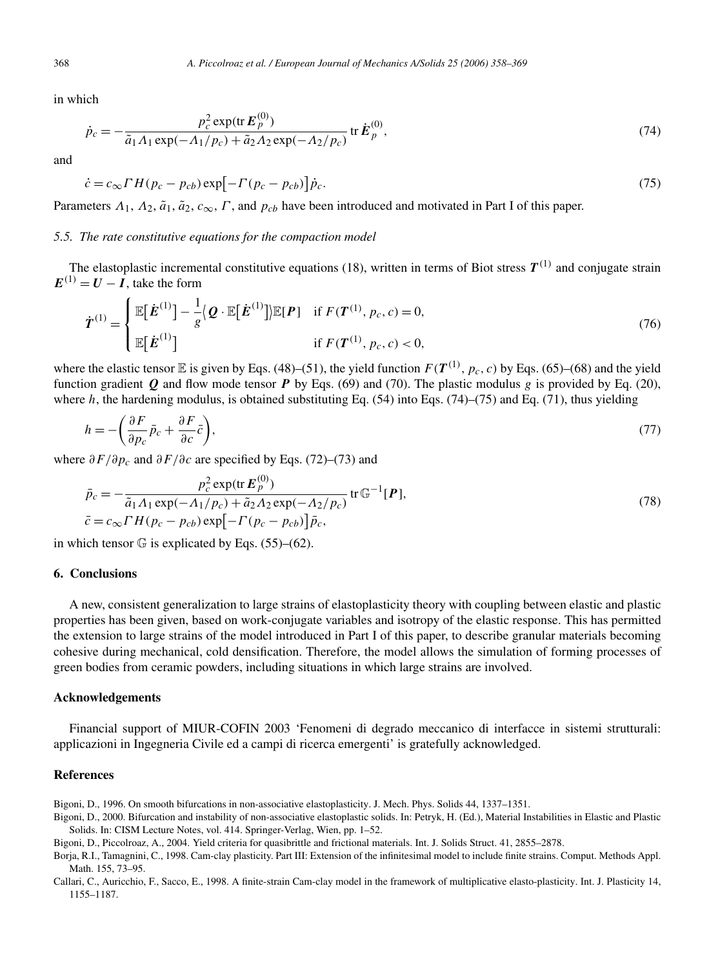in which

$$
\dot{p}_c = -\frac{p_c^2 \exp(\text{tr}\, \mathbf{E}_p^{(0)})}{\tilde{a}_1 A_1 \exp(-A_1/p_c) + \tilde{a}_2 A_2 \exp(-A_2/p_c)} \,\text{tr}\, \dot{\mathbf{E}}_p^{(0)},\tag{74}
$$

and

$$
\dot{c} = c_{\infty} \Gamma H (p_c - p_{cb}) \exp \left[ -\Gamma (p_c - p_{cb}) \right] \dot{p}_c.
$$
\n(75)

Parameters  $\Lambda_1$ ,  $\Lambda_2$ ,  $\tilde{a}_1$ ,  $\tilde{a}_2$ ,  $c_\infty$ ,  $\Gamma$ , and  $p_{cb}$  have been introduced and motivated in Part I of this paper.

## *5.5. The rate constitutive equations for the compaction model*

The elastoplastic incremental constitutive equations (18), written in terms of Biot stress  $T^{(1)}$  and conjugate strain  $E^{(1)} = U - I$ , take the form

$$
\dot{\boldsymbol{T}}^{(1)} = \begin{cases} \mathbb{E}[\dot{\boldsymbol{E}}^{(1)}] - \frac{1}{g} \langle \boldsymbol{Q} \cdot \mathbb{E}[\dot{\boldsymbol{E}}^{(1)}] \rangle \mathbb{E}[\boldsymbol{P}] & \text{if } F(\boldsymbol{T}^{(1)}, p_c, c) = 0, \\ \mathbb{E}[\dot{\boldsymbol{E}}^{(1)}] & \text{if } F(\boldsymbol{T}^{(1)}, p_c, c) < 0, \end{cases}
$$
\n(76)

where the elastic tensor  $E$  is given by Eqs. (48)–(51), the yield function  $F(T^{(1)}, p_c, c)$  by Eqs. (65)–(68) and the yield function gradient *Q* and flow mode tensor *P* by Eqs. (69) and (70). The plastic modulus *g* is provided by Eq. (20), where  $h$ , the hardening modulus, is obtained substituting Eq.  $(54)$  into Eqs.  $(74)$ – $(75)$  and Eq.  $(71)$ , thus yielding

$$
h = -\left(\frac{\partial F}{\partial p_c}\bar{p}_c + \frac{\partial F}{\partial c}\bar{c}\right),\tag{77}
$$

where *∂F/∂pc* and *∂F/∂c* are specified by Eqs. (72)–(73) and

$$
\bar{p}_c = -\frac{p_c^2 \exp(\text{tr}\, \boldsymbol{E}_p^{(0)})}{\tilde{a}_1 \Lambda_1 \exp(-\Lambda_1/p_c) + \tilde{a}_2 \Lambda_2 \exp(-\Lambda_2/p_c)} \text{tr}\, \mathbb{G}^{-1}[\boldsymbol{P}],
$$
\n
$$
\bar{c} = c_{\infty} \Gamma H(p_c - p_{cb}) \exp[-\Gamma(p_c - p_{cb})]\bar{p}_c,
$$
\n(78)

in which tensor  $\mathbb G$  is explicated by Eqs. (55)–(62).

#### **6. Conclusions**

A new, consistent generalization to large strains of elastoplasticity theory with coupling between elastic and plastic properties has been given, based on work-conjugate variables and isotropy of the elastic response. This has permitted the extension to large strains of the model introduced in Part I of this paper, to describe granular materials becoming cohesive during mechanical, cold densification. Therefore, the model allows the simulation of forming processes of green bodies from ceramic powders, including situations in which large strains are involved.

#### **Acknowledgements**

Financial support of MIUR-COFIN 2003 'Fenomeni di degrado meccanico di interfacce in sistemi strutturali: applicazioni in Ingegneria Civile ed a campi di ricerca emergenti' is gratefully acknowledged.

# **References**

- Bigoni, D., 1996. On smooth bifurcations in non-associative elastoplasticity. J. Mech. Phys. Solids 44, 1337–1351.
- Bigoni, D., 2000. Bifurcation and instability of non-associative elastoplastic solids. In: Petryk, H. (Ed.), Material Instabilities in Elastic and Plastic Solids. In: CISM Lecture Notes, vol. 414. Springer-Verlag, Wien, pp. 1–52.
- Bigoni, D., Piccolroaz, A., 2004. Yield criteria for quasibrittle and frictional materials. Int. J. Solids Struct. 41, 2855–2878.
- Borja, R.I., Tamagnini, C., 1998. Cam-clay plasticity. Part III: Extension of the infinitesimal model to include finite strains. Comput. Methods Appl. Math. 155, 73–95.

Callari, C., Auricchio, F., Sacco, E., 1998. A finite-strain Cam-clay model in the framework of multiplicative elasto-plasticity. Int. J. Plasticity 14, 1155–1187.